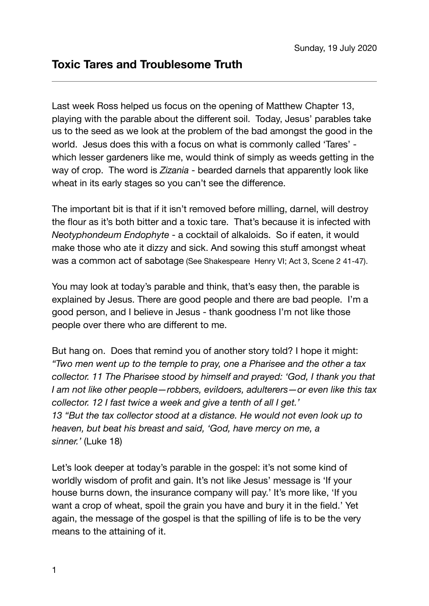Last week Ross helped us focus on the opening of Matthew Chapter 13, playing with the parable about the different soil. Today, Jesus' parables take us to the seed as we look at the problem of the bad amongst the good in the world. Jesus does this with a focus on what is commonly called 'Tares' which lesser gardeners like me, would think of simply as weeds getting in the way of crop. The word is *Zizania* - bearded darnels that apparently look like wheat in its early stages so you can't see the difference.

The important bit is that if it isn't removed before milling, darnel, will destroy the flour as it's both bitter and a toxic tare. That's because it is infected with *Neotyphondeum Endophyte* - a cocktail of alkaloids. So if eaten, it would make those who ate it dizzy and sick. And sowing this stuff amongst wheat was a common act of sabotage (See Shakespeare Henry VI; Act 3, Scene 2 41-47).

You may look at today's parable and think, that's easy then, the parable is explained by Jesus. There are good people and there are bad people. I'm a good person, and I believe in Jesus - thank goodness I'm not like those people over there who are different to me.

But hang on. Does that remind you of another story told? I hope it might: *"Two men went up to the temple to pray, one a Pharisee and the other a tax collector. 11 The Pharisee stood by himself and prayed: 'God, I thank you that I am not like other people—robbers, evildoers, adulterers—or even like this tax collector. 12 I fast twice a week and give a tenth of all I get.' 13 "But the tax collector stood at a distance. He would not even look up to heaven, but beat his breast and said, 'God, have mercy on me, a sinner.'* (Luke 18)

Let's look deeper at today's parable in the gospel: it's not some kind of worldly wisdom of profit and gain. It's not like Jesus' message is 'If your house burns down, the insurance company will pay.' It's more like, 'If you want a crop of wheat, spoil the grain you have and bury it in the field.' Yet again, the message of the gospel is that the spilling of life is to be the very means to the attaining of it.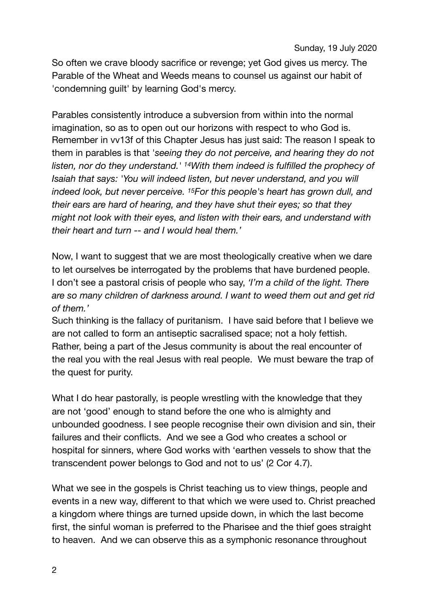So often we crave bloody sacrifice or revenge; yet God gives us mercy. The Parable of the Wheat and Weeds means to counsel us against our habit of 'condemning guilt' by learning God's mercy.

Parables consistently introduce a subversion from within into the normal imagination, so as to open out our horizons with respect to who God is. Remember in vv13f of this Chapter Jesus has just said: The reason I speak to them in parables is that '*seeing they do not perceive, and hearing they do not listen, nor do they understand.' 14With them indeed is fulfilled the prophecy of Isaiah that says: 'You will indeed listen, but never understand, and you will indeed look, but never perceive. 15For this people's heart has grown dull, and their ears are hard of hearing, and they have shut their eyes; so that they might not look with their eyes, and listen with their ears, and understand with their heart and turn -- and I would heal them.'* 

Now, I want to suggest that we are most theologically creative when we dare to let ourselves be interrogated by the problems that have burdened people. I don't see a pastoral crisis of people who say, *'I'm a child of the light. There are so many children of darkness around. I want to weed them out and get rid of them.'* 

Such thinking is the fallacy of puritanism. I have said before that I believe we are not called to form an antiseptic sacralised space; not a holy fettish. Rather, being a part of the Jesus community is about the real encounter of the real you with the real Jesus with real people. We must beware the trap of the quest for purity.

What I do hear pastorally, is people wrestling with the knowledge that they are not 'good' enough to stand before the one who is almighty and unbounded goodness. I see people recognise their own division and sin, their failures and their conflicts. And we see a God who creates a school or hospital for sinners, where God works with 'earthen vessels to show that the transcendent power belongs to God and not to us' (2 Cor 4.7).

What we see in the gospels is Christ teaching us to view things, people and events in a new way, different to that which we were used to. Christ preached a kingdom where things are turned upside down, in which the last become first, the sinful woman is preferred to the Pharisee and the thief goes straight to heaven. And we can observe this as a symphonic resonance throughout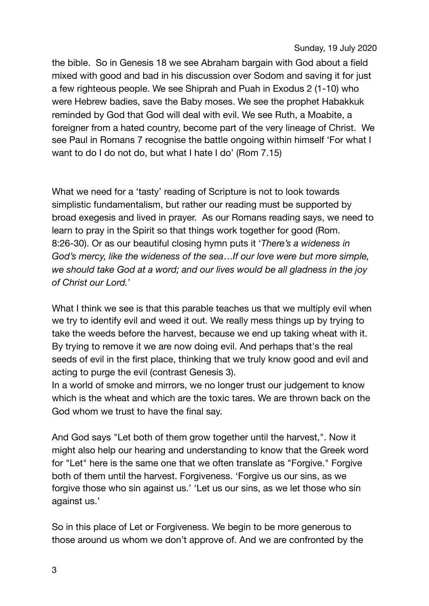## Sunday, 19 July 2020

the bible. So in Genesis 18 we see Abraham bargain with God about a field mixed with good and bad in his discussion over Sodom and saving it for just a few righteous people. We see Shiprah and Puah in Exodus 2 (1-10) who were Hebrew badies, save the Baby moses. We see the prophet Habakkuk reminded by God that God will deal with evil. We see Ruth, a Moabite, a foreigner from a hated country, become part of the very lineage of Christ. We see Paul in Romans 7 recognise the battle ongoing within himself 'For what I want to do I do not do, but what I hate I do' (Rom 7.15)

What we need for a 'tasty' reading of Scripture is not to look towards simplistic fundamentalism, but rather our reading must be supported by broad exegesis and lived in prayer. As our Romans reading says, we need to learn to pray in the Spirit so that things work together for good (Rom. 8:26-30). Or as our beautiful closing hymn puts it '*There's a wideness in God's mercy, like the wideness of the sea*…*If our love were but more simple, we should take God at a word; and our lives would be all gladness in the joy of Christ our Lord.*'

What I think we see is that this parable teaches us that we multiply evil when we try to identify evil and weed it out. We really mess things up by trying to take the weeds before the harvest, because we end up taking wheat with it. By trying to remove it we are now doing evil. And perhaps that's the real seeds of evil in the first place, thinking that we truly know good and evil and acting to purge the evil (contrast Genesis 3).

In a world of smoke and mirrors, we no longer trust our judgement to know which is the wheat and which are the toxic tares. We are thrown back on the God whom we trust to have the final say.

And God says "Let both of them grow together until the harvest,". Now it might also help our hearing and understanding to know that the Greek word for "Let" here is the same one that we often translate as "Forgive." Forgive both of them until the harvest. Forgiveness. 'Forgive us our sins, as we forgive those who sin against us.' 'Let us our sins, as we let those who sin against us.'

So in this place of Let or Forgiveness. We begin to be more generous to those around us whom we don't approve of. And we are confronted by the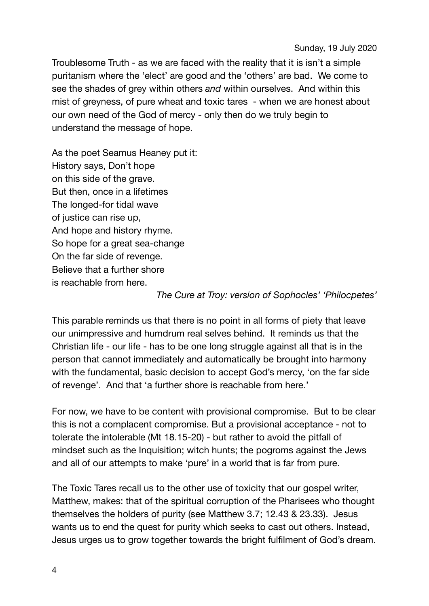Troublesome Truth - as we are faced with the reality that it is isn't a simple puritanism where the 'elect' are good and the 'others' are bad. We come to see the shades of grey within others *and* within ourselves. And within this mist of greyness, of pure wheat and toxic tares - when we are honest about our own need of the God of mercy - only then do we truly begin to understand the message of hope.

As the poet Seamus Heaney put it: History says, Don't hope on this side of the grave. But then, once in a lifetimes The longed-for tidal wave of justice can rise up, And hope and history rhyme. So hope for a great sea-change On the far side of revenge. Believe that a further shore is reachable from here.

## *The Cure at Troy: version of Sophocles' 'Philocpetes'*

This parable reminds us that there is no point in all forms of piety that leave our unimpressive and humdrum real selves behind. It reminds us that the Christian life - our life - has to be one long struggle against all that is in the person that cannot immediately and automatically be brought into harmony with the fundamental, basic decision to accept God's mercy, 'on the far side of revenge'. And that 'a further shore is reachable from here.'

For now, we have to be content with provisional compromise. But to be clear this is not a complacent compromise. But a provisional acceptance - not to tolerate the intolerable (Mt 18.15-20) - but rather to avoid the pitfall of mindset such as the Inquisition; witch hunts; the pogroms against the Jews and all of our attempts to make 'pure' in a world that is far from pure.

The Toxic Tares recall us to the other use of toxicity that our gospel writer, Matthew, makes: that of the spiritual corruption of the Pharisees who thought themselves the holders of purity (see Matthew 3.7; 12.43 & 23.33). Jesus wants us to end the quest for purity which seeks to cast out others. Instead, Jesus urges us to grow together towards the bright fulfilment of God's dream.